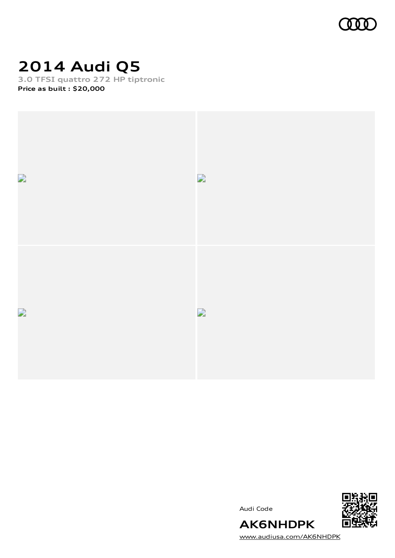

## **2014 Audi Q5**

**3.0 TFSI quattro 272 HP tiptronic Price as built [:](#page-9-0) \$20,000**





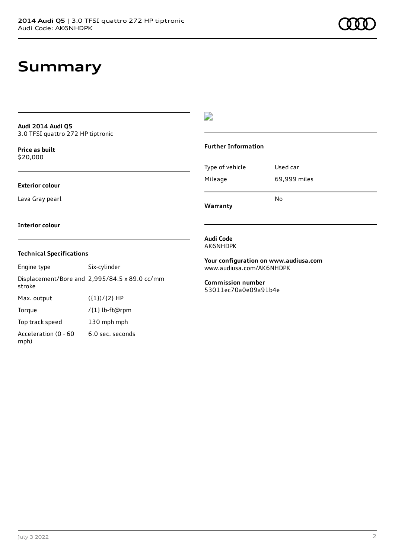## **Summary**

#### **Audi 2014 Audi Q5** 3.0 TFSI quattro 272 HP tiptronic

**Price as buil[t](#page-9-0)** \$20,000

### **Exterior colour**

Lava Gray pearl

### D

#### **Further Information**

Type of vehicle Used car Mileage 69,999 miles No

**Warranty**

#### **Interior colour**

### **Technical Specifications**

Engine type Six-cylinder Displacement/Bore and 2,995/84.5 x 89.0 cc/mm stroke Max. output  $({1})/{2}$  HP Torque /{1} lb-ft@rpm Top track speed 130 mph mph Acceleration (0 - 60 mph) 6.0 sec. seconds

**Audi Code** AK6NHDPK

**Your configuration on www.audiusa.com** [www.audiusa.com/AK6NHDPK](https://www.audiusa.com/AK6NHDPK)

**Commission number** 53011ec70a0e09a91b4e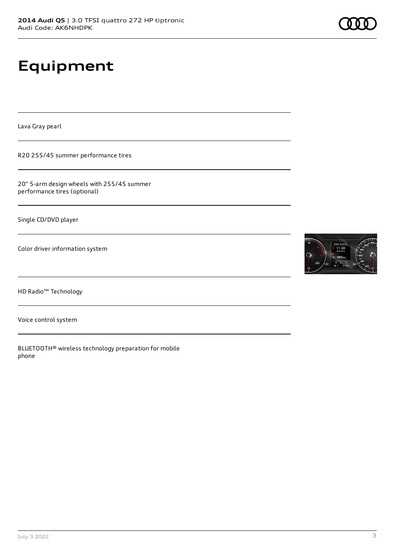# **Equipment**

Lava Gray pearl

R20 255/45 summer performance tires

20" 5-arm design wheels with 255/45 summer performance tires (optional)

Single CD/DVD player

Color driver information system

HD Radio™ Technology

Voice control system

BLUETOOTH® wireless technology preparation for mobile phone

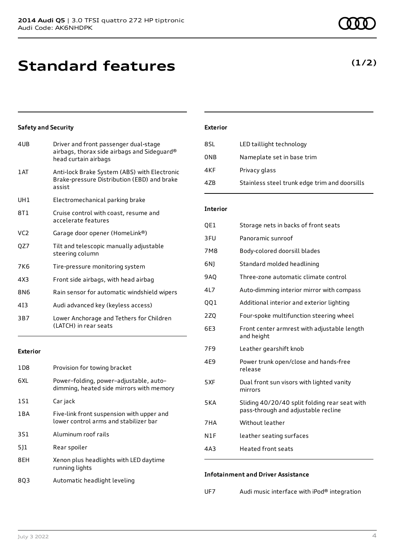## **Standard features**

### **Safety and Security**

| 4UB             | Driver and front passenger dual-stage<br>airbags, thorax side airbags and Sideguard®<br>head curtain airbags |
|-----------------|--------------------------------------------------------------------------------------------------------------|
| 1AT             | Anti-lock Brake System (ABS) with Electronic<br>Brake-pressure Distribution (EBD) and brake<br>assist        |
| UH1             | Electromechanical parking brake                                                                              |
| 8T1             | Cruise control with coast, resume and<br>accelerate features                                                 |
| VC <sub>2</sub> | Garage door opener (HomeLink®)                                                                               |
| QZ7             | Tilt and telescopic manually adjustable<br>steering column                                                   |
| 7K <sub>6</sub> | Tire-pressure monitoring system                                                                              |
| 4X3             | Front side airbags, with head airbag                                                                         |
| 8N6             | Rain sensor for automatic windshield wipers                                                                  |
| 413             | Audi advanced key (keyless access)                                                                           |
| 3B7             | Lower Anchorage and Tethers for Children<br>(LATCH) in rear seats                                            |
|                 |                                                                                                              |

### **Exterior**

| 1D8 | Provision for towing bracket                                                       |
|-----|------------------------------------------------------------------------------------|
| 6XL | Power-folding, power-adjustable, auto-<br>dimming, heated side mirrors with memory |
| 1S1 | Car jack                                                                           |
| 1BA | Five-link front suspension with upper and<br>lower control arms and stabilizer bar |
| 3S1 | Aluminum roof rails                                                                |
| 511 | Rear spoiler                                                                       |
| 8EH | Xenon plus headlights with LED daytime<br>running lights                           |
| 803 | Automatic headlight leveling                                                       |

### **Exterior**

| 8SL             | LED taillight technology                      |
|-----------------|-----------------------------------------------|
| 0NB             | Nameplate set in base trim                    |
| 4KF             | Privacy glass                                 |
| 47 <sub>B</sub> | Stainless steel trunk edge trim and doorsills |

### **Interior**

| QE1             | Storage nets in backs of front seats                                                 |
|-----------------|--------------------------------------------------------------------------------------|
| 3FU             | Panoramic sunroof                                                                    |
| 7M <sub>8</sub> | Body-colored doorsill blades                                                         |
| 6N)             | Standard molded headlining                                                           |
| <b>9AQ</b>      | Three-zone automatic climate control                                                 |
| 4L7             | Auto-dimming interior mirror with compass                                            |
| QQ1             | Additional interior and exterior lighting                                            |
| 2ZQ             | Four-spoke multifunction steering wheel                                              |
| 6E3             | Front center armrest with adjustable length<br>and height                            |
| 7F <sub>9</sub> | Leather gearshift knob                                                               |
| 4E9             | Power trunk open/close and hands-free<br>release                                     |
| 5XF             | Dual front sun visors with lighted vanity<br>mirrors                                 |
| 5KA             | Sliding 40/20/40 split folding rear seat with<br>pass-through and adjustable recline |
| 7HA             | Without leather                                                                      |
| N1F             | leather seating surfaces                                                             |
| 4A3             | <b>Heated front seats</b>                                                            |
|                 |                                                                                      |

### **Infotainment and Driver Assistance**

| UF7 | Audi music interface with iPod® integration |
|-----|---------------------------------------------|
|-----|---------------------------------------------|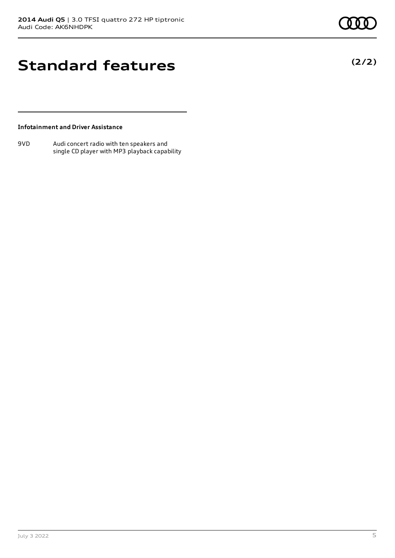**(2/2)**

## **Standard features**

### **Infotainment and Driver Assistance**

9VD Audi concert radio with ten speakers and single CD player with MP3 playback capability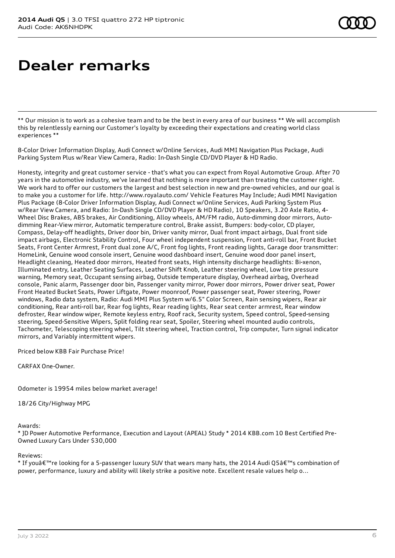# **Dealer remarks**

\*\* Our mission is to work as a cohesive team and to be the best in every area of our business \*\* We will accomplish this by relentlessly earning our Customer's loyalty by exceeding their expectations and creating world class experiences \*\*

8-Color Driver Information Display, Audi Connect w/Online Services, Audi MMI Navigation Plus Package, Audi Parking System Plus w/Rear View Camera, Radio: In-Dash Single CD/DVD Player & HD Radio.

Honesty, integrity and great customer service - that's what you can expect from Royal Automotive Group. After 70 years in the automotive industry, we've learned that nothing is more important than treating the customer right. We work hard to offer our customers the largest and best selection in new and pre-owned vehicles, and our goal is to make you a customer for life. http://www.royalauto.com/ Vehicle Features May Include; Audi MMI Navigation Plus Package (8-Color Driver Information Display, Audi Connect w/Online Services, Audi Parking System Plus w/Rear View Camera, and Radio: In-Dash Single CD/DVD Player & HD Radio), 10 Speakers, 3.20 Axle Ratio, 4- Wheel Disc Brakes, ABS brakes, Air Conditioning, Alloy wheels, AM/FM radio, Auto-dimming door mirrors, Autodimming Rear-View mirror, Automatic temperature control, Brake assist, Bumpers: body-color, CD player, Compass, Delay-off headlights, Driver door bin, Driver vanity mirror, Dual front impact airbags, Dual front side impact airbags, Electronic Stability Control, Four wheel independent suspension, Front anti-roll bar, Front Bucket Seats, Front Center Armrest, Front dual zone A/C, Front fog lights, Front reading lights, Garage door transmitter: HomeLink, Genuine wood console insert, Genuine wood dashboard insert, Genuine wood door panel insert, Headlight cleaning, Heated door mirrors, Heated front seats, High intensity discharge headlights: Bi-xenon, Illuminated entry, Leather Seating Surfaces, Leather Shift Knob, Leather steering wheel, Low tire pressure warning, Memory seat, Occupant sensing airbag, Outside temperature display, Overhead airbag, Overhead console, Panic alarm, Passenger door bin, Passenger vanity mirror, Power door mirrors, Power driver seat, Power Front Heated Bucket Seats, Power Liftgate, Power moonroof, Power passenger seat, Power steering, Power windows, Radio data system, Radio: Audi MMI Plus System w/6.5" Color Screen, Rain sensing wipers, Rear air conditioning, Rear anti-roll bar, Rear fog lights, Rear reading lights, Rear seat center armrest, Rear window defroster, Rear window wiper, Remote keyless entry, Roof rack, Security system, Speed control, Speed-sensing steering, Speed-Sensitive Wipers, Split folding rear seat, Spoiler, Steering wheel mounted audio controls, Tachometer, Telescoping steering wheel, Tilt steering wheel, Traction control, Trip computer, Turn signal indicator mirrors, and Variably intermittent wipers.

Priced below KBB Fair Purchase Price!

CARFAX One-Owner.

Odometer is 19954 miles below market average!

18/26 City/Highway MPG

Awards:

\* JD Power Automotive Performance, Execution and Layout (APEAL) Study \* 2014 KBB.com 10 Best Certified Pre-Owned Luxury Cars Under \$30,000

Reviews:

\* If you're looking for a 5-passenger luxury SUV that wears many hats, the 2014 Audi Q5's combination of power, performance, luxury and ability will likely strike a positive note. Excellent resale values help o...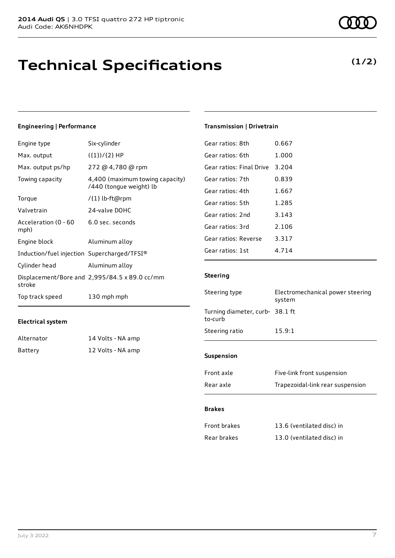## **Technical Specifications**

### **(1/2)**

### **Engineering | Performance**

| Engine type                                 | Six-cylinder                                               |
|---------------------------------------------|------------------------------------------------------------|
| Max. output                                 | $({1})/{2}$ HP                                             |
| Max. output ps/hp                           | 272 @ 4,780 @ rpm                                          |
| Towing capacity                             | 4,400 (maximum towing capacity)<br>/440 (tongue weight) lb |
| Torque                                      | /{1} lb-ft@rpm                                             |
| Valvetrain                                  | 24-valve DOHC                                              |
| Acceleration (0 - 60<br>mph)                | 6.0 sec. seconds                                           |
| Engine block                                | Aluminum alloy                                             |
| Induction/fuel injection Supercharged/TFSI® |                                                            |
| Cylinder head                               | Aluminum alloy                                             |
| stroke                                      | Displacement/Bore and 2,995/84.5 x 89.0 cc/mm              |
| Top track speed                             | 130 mph mph                                                |

### **Electrical system**

| Alternator | 14 Volts - NA amp |
|------------|-------------------|
| Battery    | 12 Volts - NA amp |

| Gear ratios: 8th         | 0.667   |
|--------------------------|---------|
| Gear ratios: 6th         | 1.000   |
| Gear ratios: Final Drive | 3.204   |
| Gear ratios: 7th         | 0.839   |
| Gear ratios: 4th         | 1.667   |
| Gear ratios: 5th         | 1.285   |
| Gear ratios: 2nd         | 3.143   |
| Gear ratios: 3rd         | 2.106   |
| Gear ratios: Reverse     | 3.317   |
| Gear ratios: 1st         | 4 7 1 4 |
|                          |         |

**Transmission | Drivetrain**

### **Steering**

| <b>Suspension</b>                         |                                            |  |
|-------------------------------------------|--------------------------------------------|--|
| Steering ratio                            | 15.9:1                                     |  |
| Turning diameter, curb-38.1 ft<br>to-curb |                                            |  |
| Steering type                             | Electromechanical power steering<br>system |  |

| Front axle | Five-link front suspension       |
|------------|----------------------------------|
| Rear axle  | Trapezoidal-link rear suspension |

### **Brakes**

| Front brakes | 13.6 (ventilated disc) in |
|--------------|---------------------------|
| Rear brakes  | 13.0 (ventilated disc) in |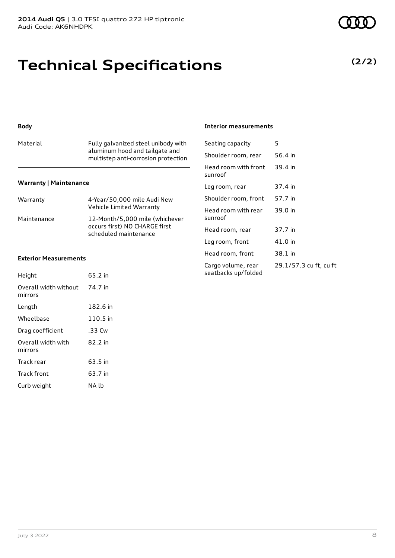## **Technical Specifications**

### **Body**

| Material | Fully galvanized steel unibody with<br>aluminum hood and tailgate and<br>multistep anti-corrosion protection |
|----------|--------------------------------------------------------------------------------------------------------------|
|          |                                                                                                              |

### **Warranty | Maintenance**

| Warranty    | 4-Year/50,000 mile Audi New<br>Vehicle Limited Warranty                                  |
|-------------|------------------------------------------------------------------------------------------|
| Maintenance | 12-Month/5,000 mile (whichever<br>occurs first) NO CHARGE first<br>scheduled maintenance |

### **Exterior Measurements**

| Height                           | 65.2 in  |
|----------------------------------|----------|
| Overall width without<br>mirrors | 74.7 in  |
| Length                           | 182.6 in |
| Wheelbase                        | 110.5 in |
| Drag coefficient                 | .33 Cw   |
| Overall width with<br>mirrors    | 82.2 in  |
| Track rear                       | 63.5 in  |
| <b>Track front</b>               | 63.7 in  |
| Curb weight                      | NA lb    |

### **Interior measurements**

| Seating capacity                          | 5                      |
|-------------------------------------------|------------------------|
| Shoulder room, rear                       | 56.4 in                |
| Head room with front<br>sunroof           | 39.4 in                |
| Leg room, rear                            | 37.4 in                |
| Shoulder room, front                      | 57.7 in                |
| Head room with rear<br>sunroof            | 39.0 in                |
| Head room, rear                           | 37.7 in                |
| Leg room, front                           | 41.0 in                |
| Head room, front                          | 38.1 in                |
| Cargo volume, rear<br>seatbacks up/folded | 29.1/57.3 cu ft, cu ft |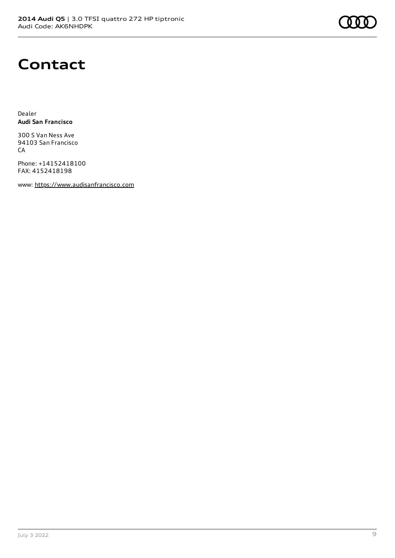

### **Contact**

Dealer **Audi San Francisco**

300 S Van Ness Ave 94103 San Francisco CA

Phone: +14152418100 FAX: 4152418198

www: [https://www.audisanfrancisco.com](https://www.audisanfrancisco.com/)